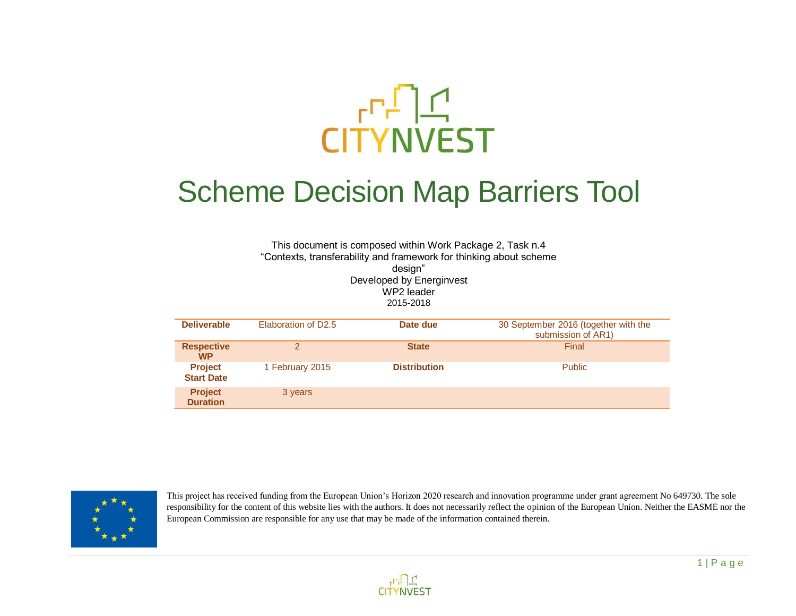

## Scheme Decision Map Barriers Tool

This document is composed within Work Package 2, Task n.4 "Contexts, transferability and framework for thinking about scheme design" Developed by Energinvest WP2 leader 2015-2018 **Deliverable** Elaboration of D2.5 **Date due** 30 September 2016 (together with the submission of AR1)

| <b>Respective</b><br><b>WP</b>      | ◠               | <b>State</b>        | <b>Final</b>  |
|-------------------------------------|-----------------|---------------------|---------------|
| <b>Project</b><br><b>Start Date</b> | 1 February 2015 | <b>Distribution</b> | <b>Public</b> |
| <b>Project</b><br><b>Duration</b>   | 3 years         |                     |               |



This project has received funding from the European Union's Horizon 2020 research and innovation programme under grant agreement No 649730. The sole responsibility for the content of this website lies with the authors. It does not necessarily reflect the opinion of the European Union. Neither the EASME nor the European Commission are responsible for any use that may be made of the information contained therein.

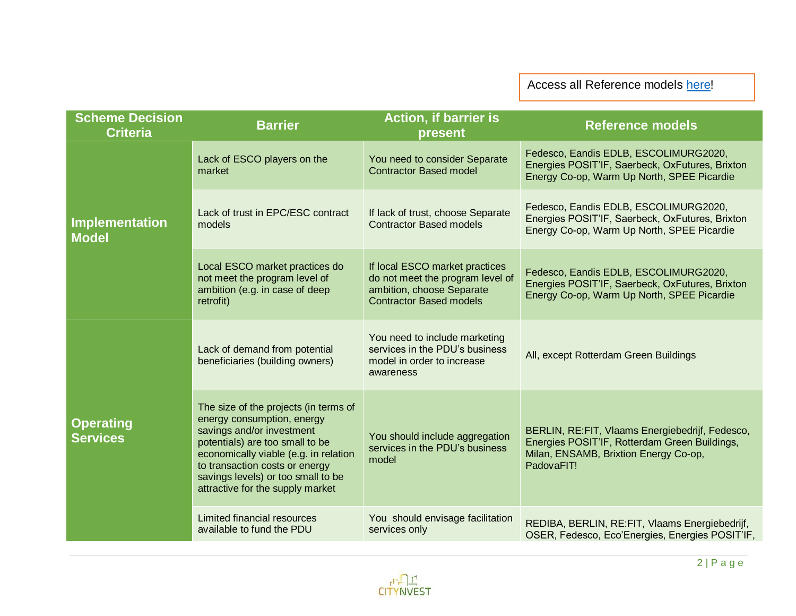Access all Reference models [here!](http://citynvest.eu/financing-models-matrix)

| <b>Scheme Decision</b><br><b>Criteria</b> | <b>Barrier</b>                                                                                                                                                                                                                                                                           | Action, if barrier is<br>present                                                                                                  | <b>Reference models</b>                                                                                                                                  |
|-------------------------------------------|------------------------------------------------------------------------------------------------------------------------------------------------------------------------------------------------------------------------------------------------------------------------------------------|-----------------------------------------------------------------------------------------------------------------------------------|----------------------------------------------------------------------------------------------------------------------------------------------------------|
| <b>Implementation</b><br><b>Model</b>     | Lack of ESCO players on the<br>market                                                                                                                                                                                                                                                    | You need to consider Separate<br><b>Contractor Based model</b>                                                                    | Fedesco, Eandis EDLB, ESCOLIMURG2020,<br>Energies POSIT'IF, Saerbeck, OxFutures, Brixton<br>Energy Co-op, Warm Up North, SPEE Picardie                   |
|                                           | Lack of trust in EPC/ESC contract<br>models                                                                                                                                                                                                                                              | If lack of trust, choose Separate<br><b>Contractor Based models</b>                                                               | Fedesco, Eandis EDLB, ESCOLIMURG2020,<br>Energies POSIT'IF, Saerbeck, OxFutures, Brixton<br>Energy Co-op, Warm Up North, SPEE Picardie                   |
|                                           | Local ESCO market practices do<br>not meet the program level of<br>ambition (e.g. in case of deep<br>retrofit)                                                                                                                                                                           | If local ESCO market practices<br>do not meet the program level of<br>ambition, choose Separate<br><b>Contractor Based models</b> | Fedesco, Eandis EDLB, ESCOLIMURG2020,<br>Energies POSIT'IF, Saerbeck, OxFutures, Brixton<br>Energy Co-op, Warm Up North, SPEE Picardie                   |
|                                           | Lack of demand from potential<br>beneficiaries (building owners)                                                                                                                                                                                                                         | You need to include marketing<br>services in the PDU's business<br>model in order to increase<br>awareness                        | All, except Rotterdam Green Buildings                                                                                                                    |
| <b>Operating</b><br><b>Services</b>       | The size of the projects (in terms of<br>energy consumption, energy<br>savings and/or investment<br>potentials) are too small to be<br>economically viable (e.g. in relation<br>to transaction costs or energy<br>savings levels) or too small to be<br>attractive for the supply market | You should include aggregation<br>services in the PDU's business<br>model                                                         | BERLIN, RE: FIT, Vlaams Energiebedrijf, Fedesco,<br>Energies POSIT'IF, Rotterdam Green Buildings,<br>Milan, ENSAMB, Brixtion Energy Co-op,<br>PadovaFIT! |
|                                           | <b>Limited financial resources</b><br>available to fund the PDU                                                                                                                                                                                                                          | You should envisage facilitation<br>services only                                                                                 | REDIBA, BERLIN, RE: FIT, Vlaams Energiebedrijf,<br>OSER, Fedesco, Eco'Energies, Energies POSIT'IF,                                                       |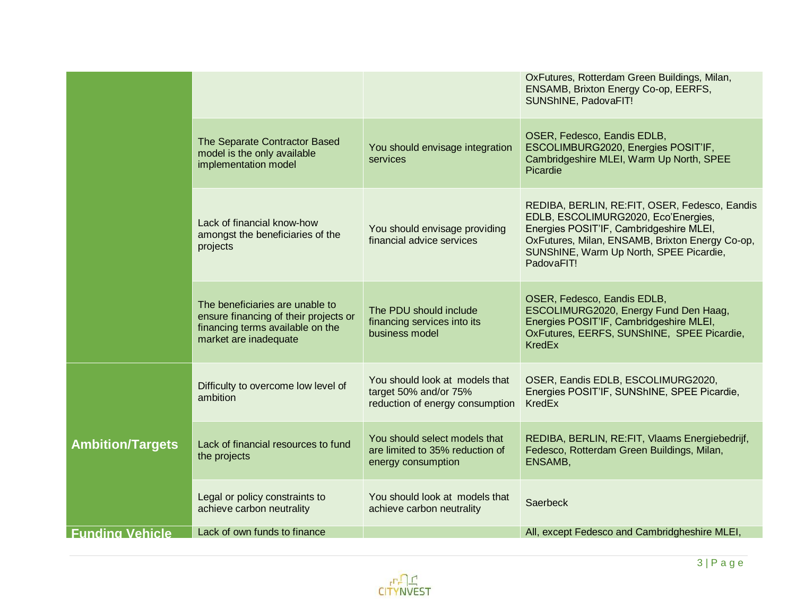|                         |                                                                                                                                       |                                                                                            | OxFutures, Rotterdam Green Buildings, Milan,<br>ENSAMB, Brixton Energy Co-op, EERFS,<br>SUNShINE, PadovaFIT!                                                                                                                                |
|-------------------------|---------------------------------------------------------------------------------------------------------------------------------------|--------------------------------------------------------------------------------------------|---------------------------------------------------------------------------------------------------------------------------------------------------------------------------------------------------------------------------------------------|
|                         | The Separate Contractor Based<br>model is the only available<br>implementation model                                                  | You should envisage integration<br>services                                                | OSER, Fedesco, Eandis EDLB,<br>ESCOLIMBURG2020, Energies POSIT'IF,<br>Cambridgeshire MLEI, Warm Up North, SPEE<br>Picardie                                                                                                                  |
|                         | Lack of financial know-how<br>amongst the beneficiaries of the<br>projects                                                            | You should envisage providing<br>financial advice services                                 | REDIBA, BERLIN, RE:FIT, OSER, Fedesco, Eandis<br>EDLB, ESCOLIMURG2020, Eco'Energies,<br>Energies POSIT'IF, Cambridgeshire MLEI,<br>OxFutures, Milan, ENSAMB, Brixton Energy Co-op,<br>SUNShINE, Warm Up North, SPEE Picardie,<br>PadovaFIT! |
|                         | The beneficiaries are unable to<br>ensure financing of their projects or<br>financing terms available on the<br>market are inadequate | The PDU should include<br>financing services into its<br>business model                    | OSER, Fedesco, Eandis EDLB,<br>ESCOLIMURG2020, Energy Fund Den Haag,<br>Energies POSIT'IF, Cambridgeshire MLEI,<br>OxFutures, EERFS, SUNShINE, SPEE Picardie,<br><b>KredEx</b>                                                              |
|                         | Difficulty to overcome low level of<br>ambition                                                                                       | You should look at models that<br>target 50% and/or 75%<br>reduction of energy consumption | OSER, Eandis EDLB, ESCOLIMURG2020,<br>Energies POSIT'IF, SUNShINE, SPEE Picardie,<br>KredEx                                                                                                                                                 |
| <b>Ambition/Targets</b> | Lack of financial resources to fund<br>the projects                                                                                   | You should select models that<br>are limited to 35% reduction of<br>energy consumption     | REDIBA, BERLIN, RE: FIT, Vlaams Energiebedrijf,<br>Fedesco, Rotterdam Green Buildings, Milan,<br>ENSAMB,                                                                                                                                    |
|                         | Legal or policy constraints to<br>achieve carbon neutrality                                                                           | You should look at models that<br>achieve carbon neutrality                                | Saerbeck                                                                                                                                                                                                                                    |
| <b>Funding Vehicle</b>  | Lack of own funds to finance                                                                                                          |                                                                                            | All, except Fedesco and Cambridgheshire MLEI,                                                                                                                                                                                               |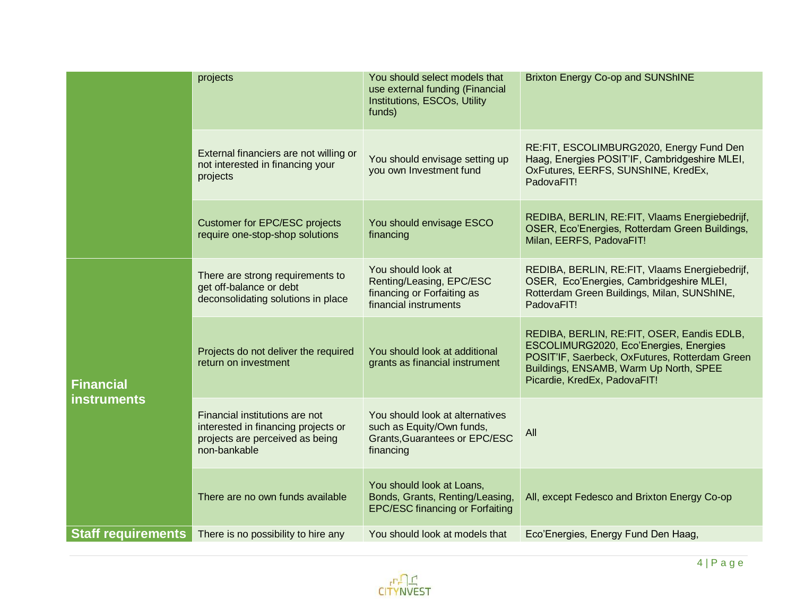|                           | projects                                                                                                                 | You should select models that<br>use external funding (Financial<br>Institutions, ESCOs, Utility<br>funds)        | Brixton Energy Co-op and SUNShINE                                                                                                                                                                                |
|---------------------------|--------------------------------------------------------------------------------------------------------------------------|-------------------------------------------------------------------------------------------------------------------|------------------------------------------------------------------------------------------------------------------------------------------------------------------------------------------------------------------|
|                           | External financiers are not willing or<br>not interested in financing your<br>projects                                   | You should envisage setting up<br>you own Investment fund                                                         | RE:FIT, ESCOLIMBURG2020, Energy Fund Den<br>Haag, Energies POSIT'IF, Cambridgeshire MLEI,<br>OxFutures, EERFS, SUNShINE, KredEx,<br>PadovaFIT!                                                                   |
|                           | <b>Customer for EPC/ESC projects</b><br>require one-stop-shop solutions                                                  | You should envisage ESCO<br>financing                                                                             | REDIBA, BERLIN, RE: FIT, Vlaams Energiebedrijf,<br>OSER, Eco'Energies, Rotterdam Green Buildings,<br>Milan, EERFS, PadovaFIT!                                                                                    |
|                           | There are strong requirements to<br>get off-balance or debt<br>deconsolidating solutions in place                        | You should look at<br>Renting/Leasing, EPC/ESC<br>financing or Forfaiting as<br>financial instruments             | REDIBA, BERLIN, RE: FIT, Vlaams Energiebedrijf,<br>OSER, Eco'Energies, Cambridgeshire MLEI,<br>Rotterdam Green Buildings, Milan, SUNShINE,<br>PadovaFIT!                                                         |
| <b>Financial</b>          | Projects do not deliver the required<br>return on investment                                                             | You should look at additional<br>grants as financial instrument                                                   | REDIBA, BERLIN, RE:FIT, OSER, Eandis EDLB,<br>ESCOLIMURG2020, Eco'Energies, Energies<br>POSIT'IF, Saerbeck, OxFutures, Rotterdam Green<br>Buildings, ENSAMB, Warm Up North, SPEE<br>Picardie, KredEx, PadovaFIT! |
| <b>instruments</b>        | Financial institutions are not<br>interested in financing projects or<br>projects are perceived as being<br>non-bankable | You should look at alternatives<br>such as Equity/Own funds,<br><b>Grants, Guarantees or EPC/ESC</b><br>financing | All                                                                                                                                                                                                              |
|                           | There are no own funds available                                                                                         | You should look at Loans,<br>Bonds, Grants, Renting/Leasing,<br><b>EPC/ESC financing or Forfaiting</b>            | All, except Fedesco and Brixton Energy Co-op                                                                                                                                                                     |
| <b>Staff requirements</b> | There is no possibility to hire any                                                                                      | You should look at models that                                                                                    | Eco'Energies, Energy Fund Den Haag,                                                                                                                                                                              |